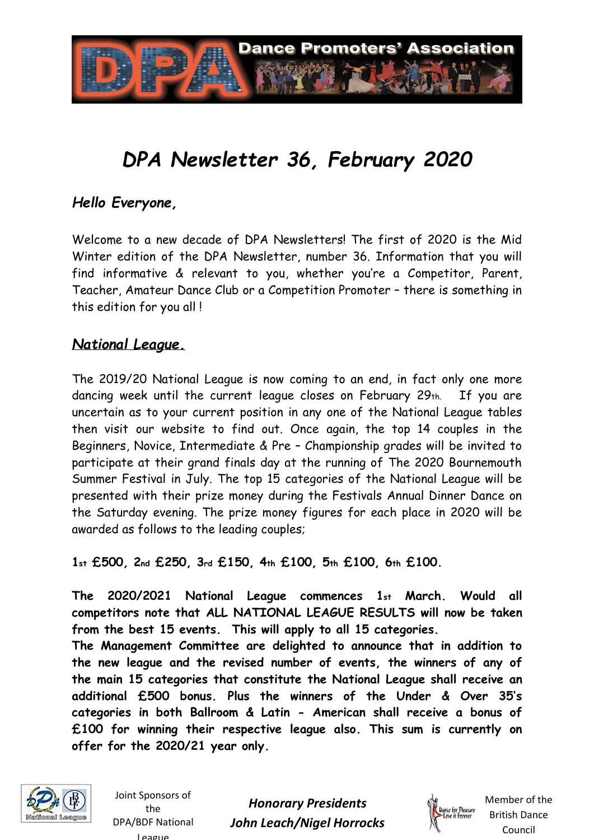

# *DPA Newsletter 36, February 2020*

### *Hello Everyone,*

Welcome to a new decade of DPA Newsletters! The first of 2020 is the Mid Winter edition of the DPA Newsletter, number 36. Information that you will find informative & relevant to you, whether you're a Competitor, Parent, Teacher, Amateur Dance Club or a Competition Promoter – there is something in this edition for you all !

### *National League.*

The 2019/20 National League is now coming to an end, in fact only one more dancing week until the current league closes on February 29th. If you are uncertain as to your current position in any one of the National League tables then visit our website to find out. Once again, the top 14 couples in the Beginners, Novice, Intermediate & Pre – Championship grades will be invited to participate at their grand finals day at the running of The 2020 Bournemouth Summer Festival in July. The top 15 categories of the National League will be presented with their prize money during the Festivals Annual Dinner Dance on the Saturday evening. The prize money figures for each place in 2020 will be awarded as follows to the leading couples;

**1st £500, 2nd £250, 3rd £150, 4th £100, 5th £100, 6th £100.**

**The 2020/2021 National League commences 1st March. Would all competitors note that ALL NATIONAL LEAGUE RESULTS will now be taken from the best 15 events. This will apply to all 15 categories.**

**The Management Committee are delighted to announce that in addition to the new league and the revised number of events, the winners of any of the main 15 categories that constitute the National League shall receive an additional £500 bonus. Plus the winners of the Under & Over 35's categories in both Ballroom & Latin - American shall receive a bonus of £100 for winning their respective league also. This sum is currently on offer for the 2020/21 year only.**



Joint Sponsors of the DPA/BDF National League

*Honorary Presidents John Leach/Nigel Horrocks*

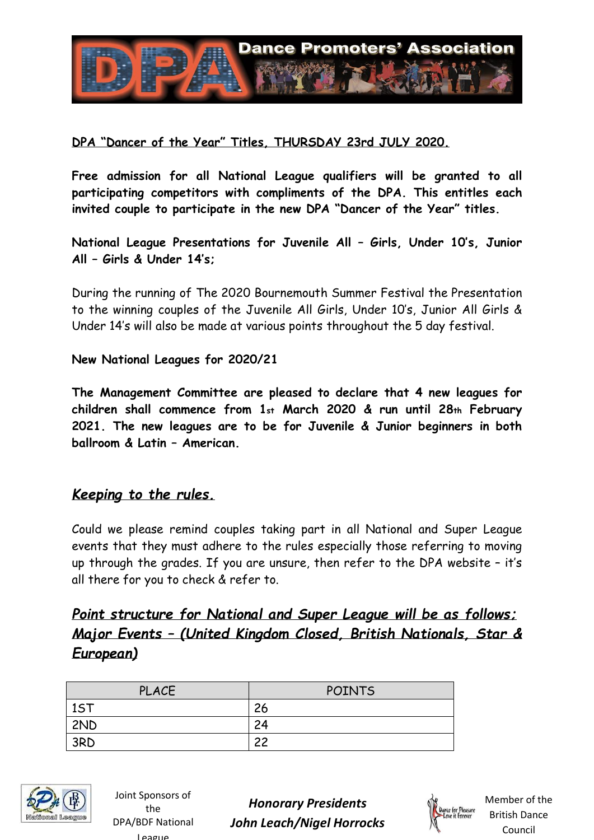

#### **DPA "Dancer of the Year" Titles, THURSDAY 23rd JULY 2020.**

**Free admission for all National League qualifiers will be granted to all participating competitors with compliments of the DPA. This entitles each invited couple to participate in the new DPA "Dancer of the Year" titles.**

**National League Presentations for Juvenile All – Girls, Under 10's, Junior All – Girls & Under 14's;**

During the running of The 2020 Bournemouth Summer Festival the Presentation to the winning couples of the Juvenile All Girls, Under 10's, Junior All Girls & Under 14's will also be made at various points throughout the 5 day festival.

#### **New National Leagues for 2020/21**

**The Management Committee are pleased to declare that 4 new leagues for children shall commence from 1st March 2020 & run until 28th February 2021. The new leagues are to be for Juvenile & Junior beginners in both ballroom & Latin – American.**

#### *Keeping to the rules.*

Could we please remind couples taking part in all National and Super League events that they must adhere to the rules especially those referring to moving up through the grades. If you are unsure, then refer to the DPA website – it's all there for you to check & refer to.

# *Point structure for National and Super League will be as follows; Major Events – (United Kingdom Closed, British Nationals, Star & European)*

| <b>PLACE</b> | <b>POINTS</b> |
|--------------|---------------|
| 15T          | 26            |
| 2ND          | 24            |
| 3RD          | າາ            |



Joint Sponsors of the DPA/BDF National League

*Honorary Presidents John Leach/Nigel Horrocks*

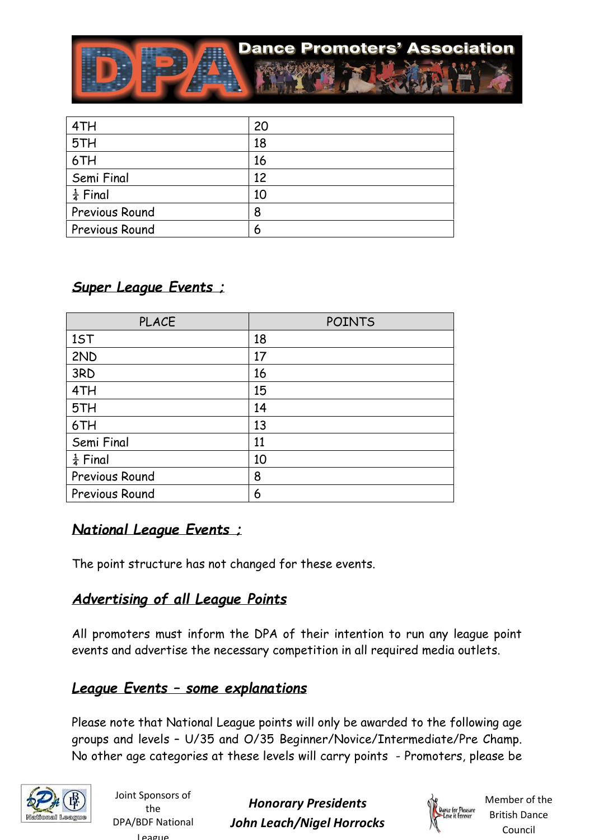

| 4TH                   | 20 |
|-----------------------|----|
| 5TH                   | 18 |
| 6TH                   | 16 |
| Semi Final            | 12 |
| $\frac{1}{4}$ Final   | 10 |
| <b>Previous Round</b> | 8  |
| <b>Previous Round</b> | 6  |

# *Super League Events ;*

| <b>PLACE</b>          | <b>POINTS</b> |
|-----------------------|---------------|
| 1ST                   | 18            |
| 2ND                   | 17            |
| 3RD                   | 16            |
| 4TH                   | 15            |
| 5TH                   | 14            |
| 6TH                   | 13            |
| Semi Final            | 11            |
| $rac{1}{4}$ Final     | 10            |
| Previous Round        | 8             |
| <b>Previous Round</b> | 6             |

### *National League Events ;*

The point structure has not changed for these events.

# *Advertising of all League Points*

All promoters must inform the DPA of their intention to run any league point events and advertise the necessary competition in all required media outlets.

### *League Events – some explanations*

Please note that National League points will only be awarded to the following age groups and levels – U/35 and O/35 Beginner/Novice/Intermediate/Pre Champ. No other age categories at these levels will carry points - Promoters, please be



Joint Sponsors of the DPA/BDF National League

*Honorary Presidents John Leach/Nigel Horrocks*

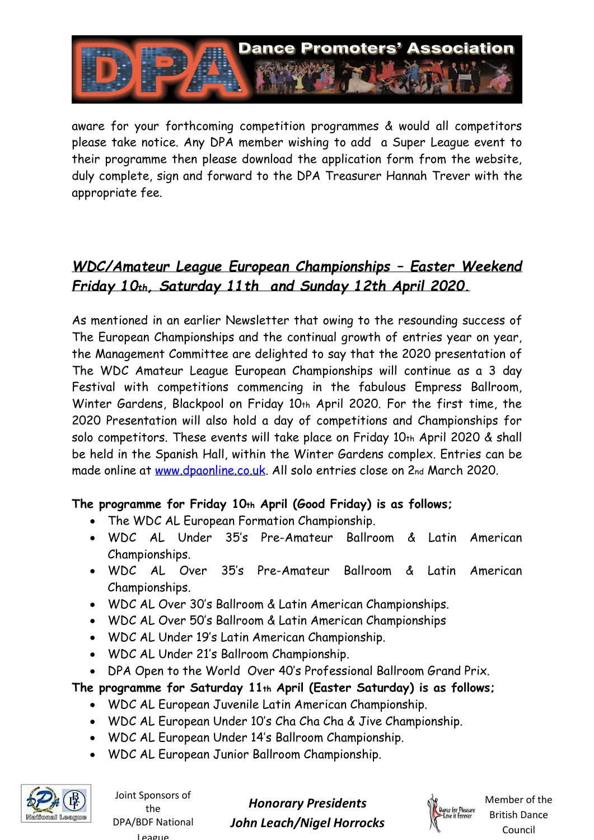

aware for your forthcoming competition programmes & would all competitors please take notice. Any DPA member wishing to add a Super League event to their programme then please download the application form from the website, duly complete, sign and forward to the DPA Treasurer Hannah Trever with the appropriate fee.

# *WDC/Amateur League European Championships – Easter Weekend Friday 10th, Saturday 11th and Sunday 12th April 2020.*

As mentioned in an earlier Newsletter that owing to the resounding success of The European Championships and the continual growth of entries year on year, the Management Committee are delighted to say that the 2020 presentation of The WDC Amateur League European Championships will continue as a 3 day Festival with competitions commencing in the fabulous Empress Ballroom, Winter Gardens, Blackpool on Friday 10th April 2020. For the first time, the 2020 Presentation will also hold a day of competitions and Championships for solo competitors. These events will take place on Friday 10th April 2020 & shall be held in the Spanish Hall, within the Winter Gardens complex. Entries can be made online at [www.dpaonline.co.uk.](http://www.dpaonline.co.uk/) All solo entries close on 2nd March 2020.

#### **The programme for Friday 10th April (Good Friday) is as follows;**

- The WDC AL European Formation Championship.
- WDC AL Under 35's Pre-Amateur Ballroom & Latin American Championships.
- WDC AL Over 35's Pre-Amateur Ballroom & Latin American Championships.
- WDC AL Over 30's Ballroom & Latin American Championships.
- WDC AL Over 50's Ballroom & Latin American Championships
- WDC AL Under 19's Latin American Championship.
- WDC AL Under 21's Ballroom Championship.
- DPA Open to the World Over 40's Professional Ballroom Grand Prix.

**The programme for Saturday 11th April (Easter Saturday) is as follows;**

- WDC AL European Juvenile Latin American Championship.
- WDC AL European Under 10's Cha Cha Cha & Jive Championship.
- WDC AL European Under 14's Ballroom Championship.
- WDC AL European Junior Ballroom Championship.



Joint Sponsors of the DPA/BDF National League

*Honorary Presidents John Leach/Nigel Horrocks*

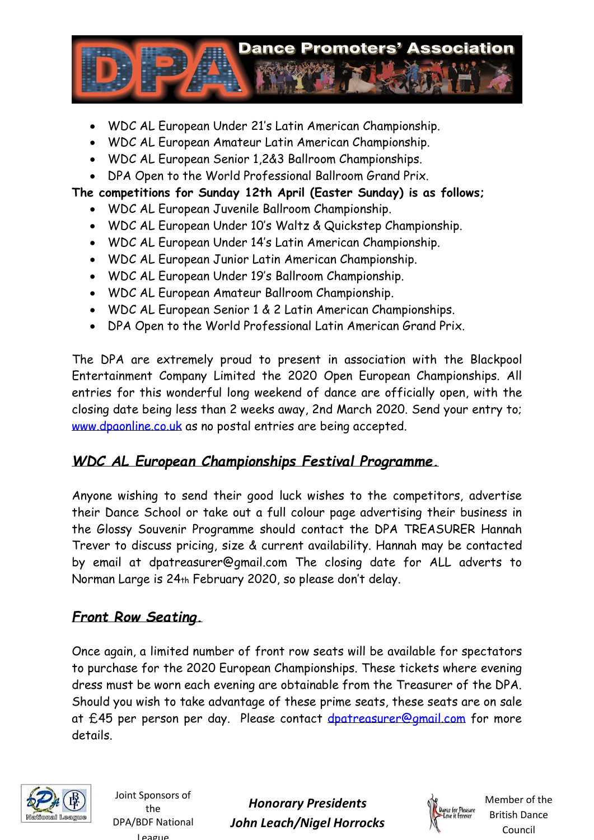

- WDC AL European Under 21's Latin American Championship.
- WDC AL European Amateur Latin American Championship.
- WDC AL European Senior 1,2&3 Ballroom Championships.
- DPA Open to the World Professional Ballroom Grand Prix.

**The competitions for Sunday 12th April (Easter Sunday) is as follows;**

- WDC AL European Juvenile Ballroom Championship.
- WDC AL European Under 10's Waltz & Quickstep Championship.
- WDC AL European Under 14's Latin American Championship.
- WDC AL European Junior Latin American Championship.
- WDC AL European Under 19's Ballroom Championship.
- WDC AL European Amateur Ballroom Championship.
- WDC AL European Senior 1 & 2 Latin American Championships.
- DPA Open to the World Professional Latin American Grand Prix.

The DPA are extremely proud to present in association with the Blackpool Entertainment Company Limited the 2020 Open European Championships. All entries for this wonderful long weekend of dance are officially open, with the closing date being less than 2 weeks away, 2nd March 2020. Send your entry to; [www.dpaonline.co.uk](http://www.dpaonline.co.uk/) as no postal entries are being accepted.

# *WDC AL European Championships Festival Programme.*

Anyone wishing to send their good luck wishes to the competitors, advertise their Dance School or take out a full colour page advertising their business in the Glossy Souvenir Programme should contact the DPA TREASURER Hannah Trever to discuss pricing, size & current availability. Hannah may be contacted by email at dpatreasurer@gmail.com The closing date for ALL adverts to Norman Large is 24th February 2020, so please don't delay.

### *Front Row Seating.*

Once again, a limited number of front row seats will be available for spectators to purchase for the 2020 European Championships. These tickets where evening dress must be worn each evening are obtainable from the Treasurer of the DPA. Should you wish to take advantage of these prime seats, these seats are on sale at £45 per person per day. Please contact [dpatreasurer@gmail.com](mailto:dpatreasurer@gmail.com) for more details.



Joint Sponsors of the DPA/BDF National League

*Honorary Presidents John Leach/Nigel Horrocks*

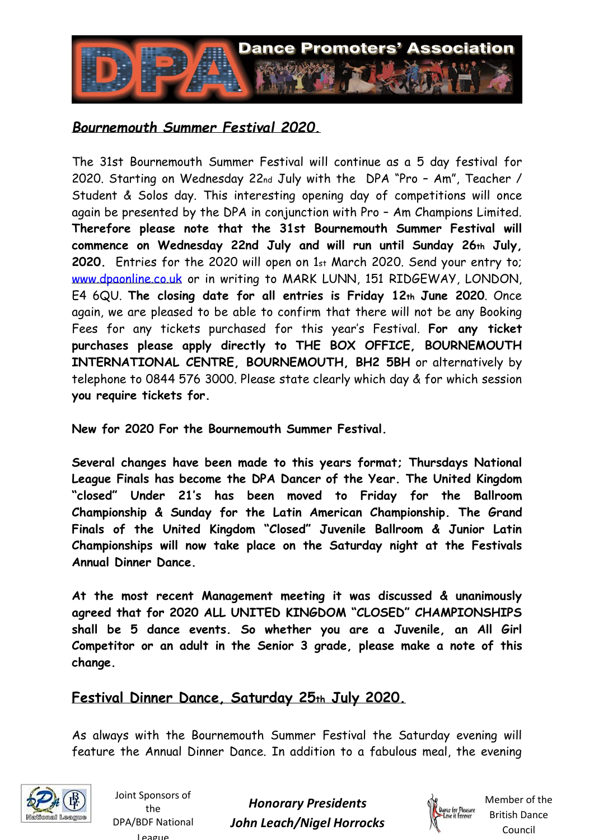

### *Bournemouth Summer Festival 2020.*

The 31st Bournemouth Summer Festival will continue as a 5 day festival for 2020. Starting on Wednesday 22nd July with the DPA "Pro – Am", Teacher / Student & Solos day. This interesting opening day of competitions will once again be presented by the DPA in conjunction with Pro – Am Champions Limited. **Therefore please note that the 31st Bournemouth Summer Festival will commence on Wednesday 22nd July and will run until Sunday 26th July, 2020.** Entries for the 2020 will open on 1st March 2020. Send your entry to; [www.dpaonline.co.uk](http://www.dpaonline.co.uk/) or in writing to MARK LUNN, 151 RIDGEWAY, LONDON, E4 6QU. **The closing date for all entries is Friday 12th June 2020**. Once again, we are pleased to be able to confirm that there will not be any Booking Fees for any tickets purchased for this year's Festival. **For any ticket purchases please apply directly to THE BOX OFFICE, BOURNEMOUTH INTERNATIONAL CENTRE, BOURNEMOUTH, BH2 5BH** or alternatively by telephone to 0844 576 3000. Please state clearly which day & for which session **you require tickets for.**

**New for 2020 For the Bournemouth Summer Festival.**

**Several changes have been made to this years format; Thursdays National League Finals has become the DPA Dancer of the Year. The United Kingdom "closed" Under 21's has been moved to Friday for the Ballroom Championship & Sunday for the Latin American Championship. The Grand Finals of the United Kingdom "Closed" Juvenile Ballroom & Junior Latin Championships will now take place on the Saturday night at the Festivals Annual Dinner Dance.**

**At the most recent Management meeting it was discussed & unanimously agreed that for 2020 ALL UNITED KINGDOM "CLOSED" CHAMPIONSHIPS shall be 5 dance events. So whether you are a Juvenile, an All Girl Competitor or an adult in the Senior 3 grade, please make a note of this change.**

### **Festival Dinner Dance, Saturday 25th July 2020.**

As always with the Bournemouth Summer Festival the Saturday evening will feature the Annual Dinner Dance. In addition to a fabulous meal, the evening



Joint Sponsors of the DPA/BDF National League

*Honorary Presidents John Leach/Nigel Horrocks*

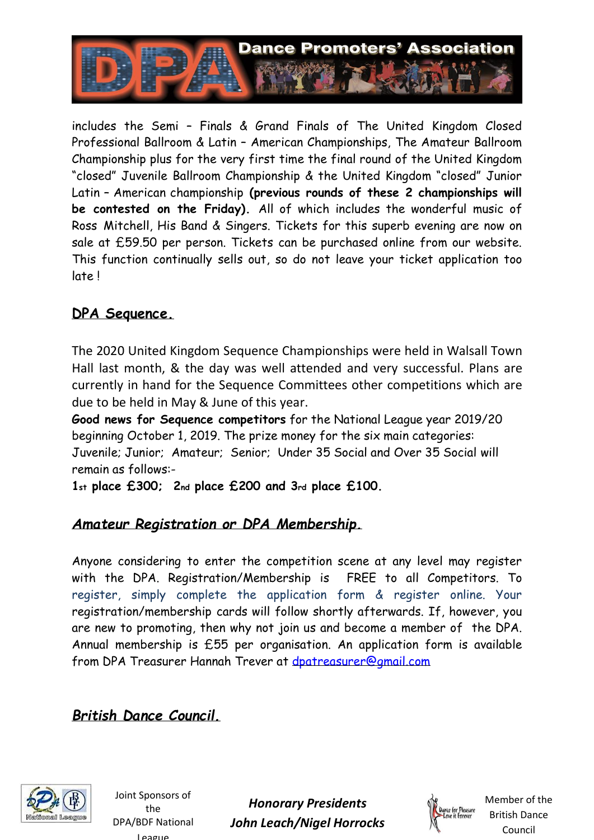

includes the Semi – Finals & Grand Finals of The United Kingdom Closed Professional Ballroom & Latin – American Championships, The Amateur Ballroom Championship plus for the very first time the final round of the United Kingdom "closed" Juvenile Ballroom Championship & the United Kingdom "closed" Junior Latin – American championship **(previous rounds of these 2 championships will be contested on the Friday).** All of which includes the wonderful music of Ross Mitchell, His Band & Singers. Tickets for this superb evening are now on sale at £59.50 per person. Tickets can be purchased online from our website. This function continually sells out, so do not leave your ticket application too late !

# **DPA Sequence.**

The 2020 United Kingdom Sequence Championships were held in Walsall Town Hall last month, & the day was well attended and very successful. Plans are currently in hand for the Sequence Committees other competitions which are due to be held in May & June of this year.

**Good news for Sequence competitors** for the National League year 2019/20 beginning October 1, 2019. The prize money for the six main categories: Juvenile; Junior; Amateur; Senior; Under 35 Social and Over 35 Social will remain as follows:-

**1st place £300; 2nd place £200 and 3rd place £100.**

# *Amateur Registration or DPA Membership.*

Anyone considering to enter the competition scene at any level may register with the DPA. Registration/Membership is FREE to all Competitors. To register, simply complete the application form & register online. Your registration/membership cards will follow shortly afterwards. If, however, you are new to promoting, then why not join us and become a member of the DPA. Annual membership is £55 per organisation. An application form is available from DPA Treasurer Hannah Trever at [dpatreasurer@gmail.com](mailto:dpatreasurer@gmail.com)

*British Dance Council.*



Joint Sponsors of the DPA/BDF National League

*Honorary Presidents John Leach/Nigel Horrocks*